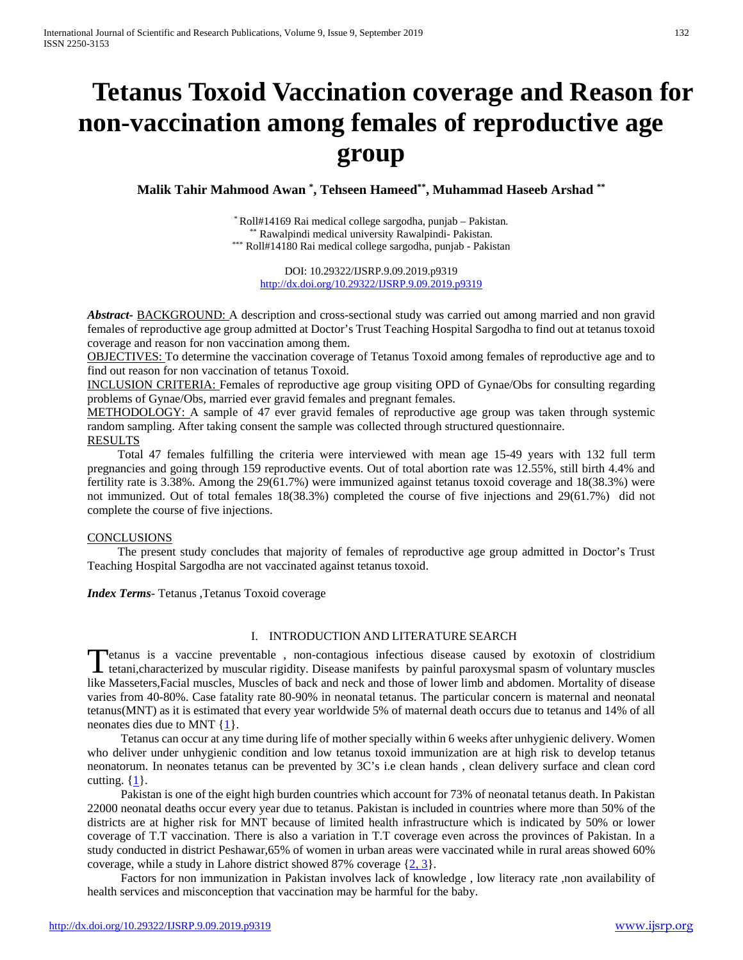# **Tetanus Toxoid Vaccination coverage and Reason for non-vaccination among females of reproductive age group**

**Malik Tahir Mahmood Awan \* , Tehseen Hameed\*\*, Muhammad Haseeb Arshad \*\***

\* Roll#14169 Rai medical college sargodha, punjab – Pakistan. \*\* Rawalpindi medical university Rawalpindi- Pakistan. \*\*\* Roll#14180 Rai medical college sargodha, punjab - Pakistan

DOI: 10.29322/IJSRP.9.09.2019.p9319 <http://dx.doi.org/10.29322/IJSRP.9.09.2019.p9319>

*Abstract***-** BACKGROUND: A description and cross-sectional study was carried out among married and non gravid females of reproductive age group admitted at Doctor's Trust Teaching Hospital Sargodha to find out at tetanus toxoid coverage and reason for non vaccination among them.

OBJECTIVES: To determine the vaccination coverage of Tetanus Toxoid among females of reproductive age and to find out reason for non vaccination of tetanus Toxoid.

INCLUSION CRITERIA: Females of reproductive age group visiting OPD of Gynae/Obs for consulting regarding problems of Gynae/Obs, married ever gravid females and pregnant females.

METHODOLOGY: A sample of 47 ever gravid females of reproductive age group was taken through systemic random sampling. After taking consent the sample was collected through structured questionnaire.

**RESULTS** 

 Total 47 females fulfilling the criteria were interviewed with mean age 15-49 years with 132 full term pregnancies and going through 159 reproductive events. Out of total abortion rate was 12.55%, still birth 4.4% and fertility rate is 3.38%. Among the 29(61.7%) were immunized against tetanus toxoid coverage and 18(38.3%) were not immunized. Out of total females 18(38.3%) completed the course of five injections and 29(61.7%) did not complete the course of five injections.

#### **CONCLUSIONS**

 The present study concludes that majority of females of reproductive age group admitted in Doctor's Trust Teaching Hospital Sargodha are not vaccinated against tetanus toxoid.

*Index Terms*- Tetanus ,Tetanus Toxoid coverage

## I. INTRODUCTION AND LITERATURE SEARCH

**Petanus is a vaccine preventable**, non-contagious infectious disease caused by exotoxin of clostridium Tetanus is a vaccine preventable, non-contagious infectious disease caused by exotoxin of clostridium<br>tetani,characterized by muscular rigidity. Disease manifests by painful paroxysmal spasm of voluntary muscles like Masseters,Facial muscles, Muscles of back and neck and those of lower limb and abdomen. Mortality of disease varies from 40-80%. Case fatality rate 80-90% in neonatal tetanus. The particular concern is maternal and neonatal tetanus(MNT) as it is estimated that every year worldwide 5% of maternal death occurs due to tetanus and 14% of all neonates dies due to MNT {1}.

 Tetanus can occur at any time during life of mother specially within 6 weeks after unhygienic delivery. Women who deliver under unhygienic condition and low tetanus toxoid immunization are at high risk to develop tetanus neonatorum. In neonates tetanus can be prevented by 3C's i.e clean hands , clean delivery surface and clean cord cutting.  $\{1\}$ .

 Pakistan is one of the eight high burden countries which account for 73% of neonatal tetanus death. In Pakistan 22000 neonatal deaths occur every year due to tetanus. Pakistan is included in countries where more than 50% of the districts are at higher risk for MNT because of limited health infrastructure which is indicated by 50% or lower coverage of T.T vaccination. There is also a variation in T.T coverage even across the provinces of Pakistan. In a study conducted in district Peshawar,65% of women in urban areas were vaccinated while in rural areas showed 60% coverage, while a study in Lahore district showed 87% coverage  $\{2, 3\}$ .

 Factors for non immunization in Pakistan involves lack of knowledge , low literacy rate ,non availability of health services and misconception that vaccination may be harmful for the baby.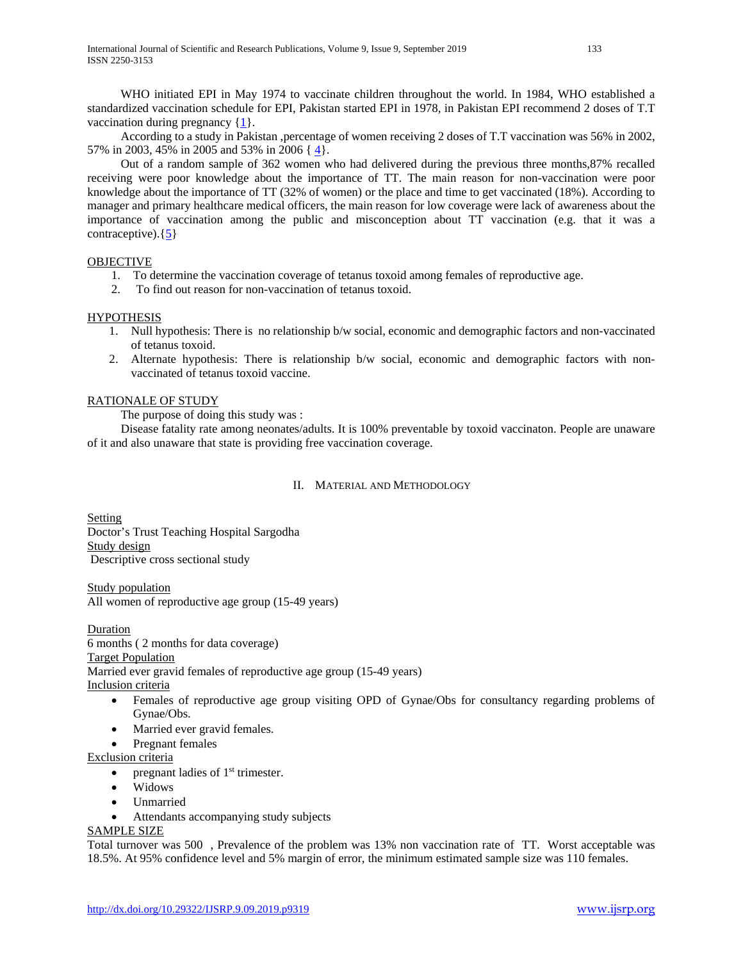WHO initiated EPI in May 1974 to vaccinate children throughout the world. In 1984, WHO established a standardized vaccination schedule for EPI, Pakistan started EPI in 1978, in Pakistan EPI recommend 2 doses of T.T vaccination during pregnancy {1}.

 According to a study in Pakistan ,percentage of women receiving 2 doses of T.T vaccination was 56% in 2002, 57% in 2003, 45% in 2005 and 53% in 2006 { 4}.

 Out of a random sample of 362 women who had delivered during the previous three months,87% recalled receiving were poor knowledge about the importance of TT. The main reason for non-vaccination were poor knowledge about the importance of TT (32% of women) or the place and time to get vaccinated (18%). According to manager and primary healthcare medical officers, the main reason for low coverage were lack of awareness about the importance of vaccination among the public and misconception about TT vaccination (e.g. that it was a contraceptive). $\{5\}$ 

# OBJECTIVE

- 1. To determine the vaccination coverage of tetanus toxoid among females of reproductive age.
- 2. To find out reason for non-vaccination of tetanus toxoid.

## **HYPOTHESIS**

- 1. Null hypothesis: There is no relationship b/w social, economic and demographic factors and non-vaccinated of tetanus toxoid.
- 2. Alternate hypothesis: There is relationship b/w social, economic and demographic factors with nonvaccinated of tetanus toxoid vaccine.

# RATIONALE OF STUDY

The purpose of doing this study was :

 Disease fatality rate among neonates/adults. It is 100% preventable by toxoid vaccinaton. People are unaware of it and also unaware that state is providing free vaccination coverage.

## II. MATERIAL AND METHODOLOGY

**Setting** Doctor's Trust Teaching Hospital Sargodha Study design Descriptive cross sectional study

Study population All women of reproductive age group (15-49 years)

Duration 6 months ( 2 months for data coverage) Target Population Married ever gravid females of reproductive age group (15-49 years) Inclusion criteria

- Females of reproductive age group visiting OPD of Gynae/Obs for consultancy regarding problems of Gynae/Obs.
- Married ever gravid females.
- Pregnant females
- Exclusion criteria
	- pregnant ladies of  $1<sup>st</sup>$  trimester.
	- Widows
	- Unmarried
	- Attendants accompanying study subjects

# SAMPLE SIZE

Total turnover was 500 , Prevalence of the problem was 13% non vaccination rate of TT. Worst acceptable was 18.5%. At 95% confidence level and 5% margin of error, the minimum estimated sample size was 110 females.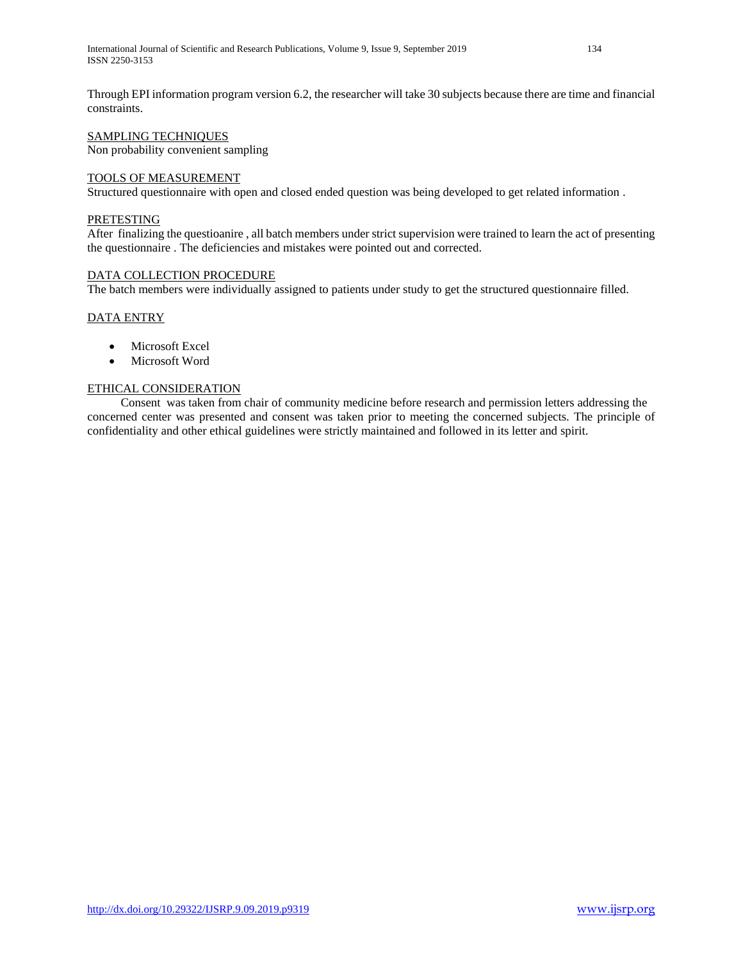Through EPI information program version 6.2, the researcher will take 30 subjects because there are time and financial constraints.

# SAMPLING TECHNIQUES

Non probability convenient sampling

## TOOLS OF MEASUREMENT

Structured questionnaire with open and closed ended question was being developed to get related information .

# **PRETESTING**

After finalizing the questioanire , all batch members under strict supervision were trained to learn the act of presenting the questionnaire . The deficiencies and mistakes were pointed out and corrected.

# DATA COLLECTION PROCEDURE

The batch members were individually assigned to patients under study to get the structured questionnaire filled.

## DATA ENTRY

- Microsoft Excel
- Microsoft Word

## ETHICAL CONSIDERATION

 Consent was taken from chair of community medicine before research and permission letters addressing the concerned center was presented and consent was taken prior to meeting the concerned subjects. The principle of confidentiality and other ethical guidelines were strictly maintained and followed in its letter and spirit.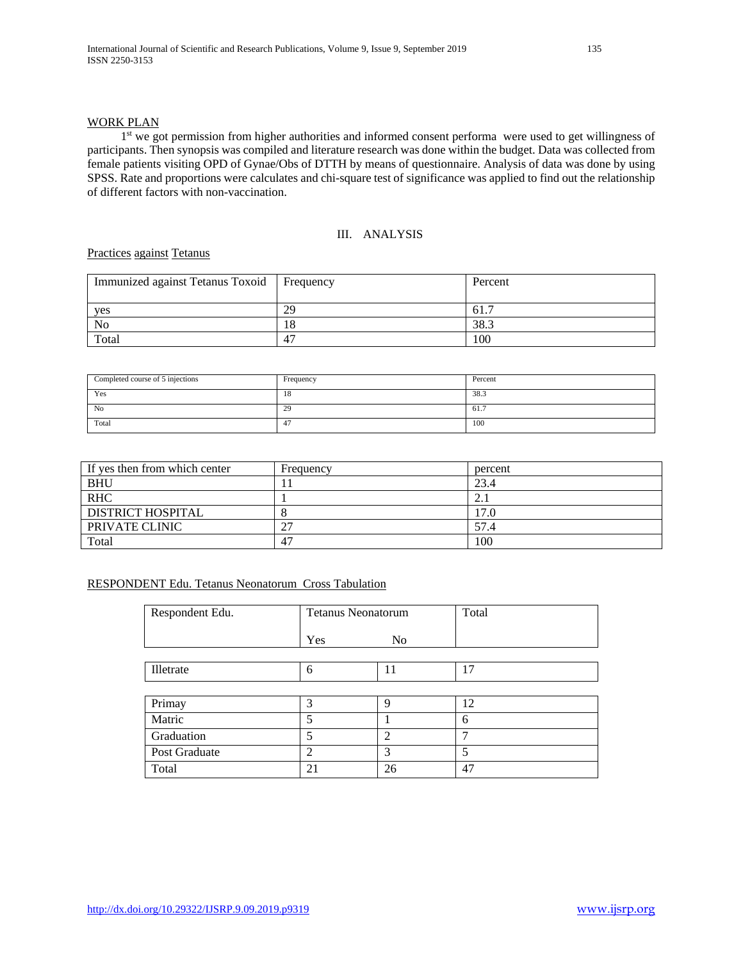## WORK PLAN

1<sup>st</sup> we got permission from higher authorities and informed consent performa were used to get willingness of participants. Then synopsis was compiled and literature research was done within the budget. Data was collected from female patients visiting OPD of Gynae/Obs of DTTH by means of questionnaire. Analysis of data was done by using SPSS. Rate and proportions were calculates and chi-square test of significance was applied to find out the relationship of different factors with non-vaccination.

# III. ANALYSIS

# Practices against Tetanus

| Immunized against Tetanus Toxoid | Frequency | Percent |
|----------------------------------|-----------|---------|
| yes                              | 29        | 61.7    |
| No                               | 18        | 38.3    |
| Total                            | 47        | 100     |

| Completed course of 5 injections | Frequency | Percent |
|----------------------------------|-----------|---------|
| Yes                              | 18        | 38.3    |
| No                               | 29        | 61.7    |
| Total                            | <br>$+$   | 100     |

| If yes then from which center | Frequency | percent |
|-------------------------------|-----------|---------|
| <b>BHU</b>                    |           | 23.4    |
| <b>RHC</b>                    |           |         |
| DISTRICT HOSPITAL             |           | .7.0    |
| PRIVATE CLINIC                | 77        | 57.4    |
| Total                         | 47        | 100     |

## RESPONDENT Edu. Tetanus Neonatorum Cross Tabulation

| Respondent Edu. | <b>Tetanus Neonatorum</b> |                | Total |
|-----------------|---------------------------|----------------|-------|
|                 | Yes                       | N <sub>0</sub> |       |
|                 |                           |                |       |
| Illetrate       | 6                         | 11             | 17    |
|                 |                           |                |       |
| Primay          | 3                         | 9              | 12    |
| Matric          |                           |                | 6     |
| Graduation      |                           | $\overline{2}$ |       |
| Post Graduate   | $\mathfrak{D}$            | 3              | 5     |
| Total           | 21                        | 26             | 47    |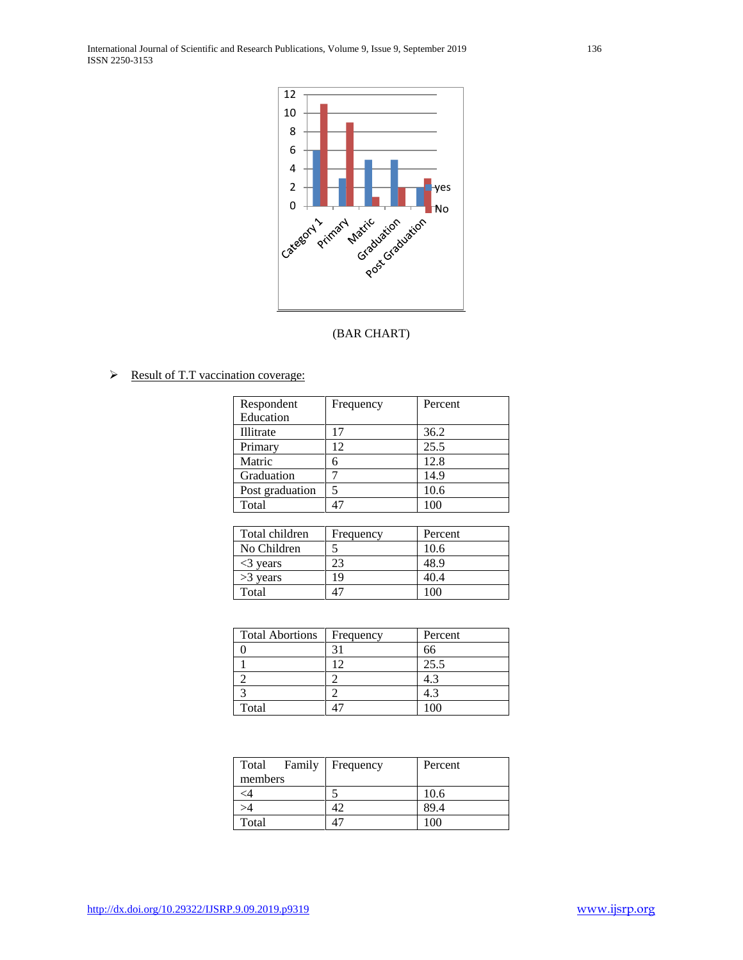International Journal of Scientific and Research Publications, Volume 9, Issue 9, September 2019 136 ISSN 2250-3153



# (BAR CHART)

 $\triangleright$  Result of T.T vaccination coverage:

| Frequency | Percent |
|-----------|---------|
|           |         |
| 17        | 36.2    |
| 12        | 25.5    |
| 6         | 12.8    |
|           | 14.9    |
|           | 10.6    |
| 47        | 100     |
|           |         |

| Total children            | Frequency | Percent |
|---------------------------|-----------|---------|
| No Children               |           | 10.6    |
| $\langle 3 \rangle$ vears | 23        | 48.9    |
| $>3$ years                | 19        | 40.4    |
| Total                     |           |         |

| <b>Total Abortions</b> | Frequency | Percent |
|------------------------|-----------|---------|
|                        |           |         |
|                        |           | 25.5    |
|                        |           |         |
|                        |           |         |
| Total                  |           |         |

| Total    | Family | Frequency | Percent |
|----------|--------|-----------|---------|
| members  |        |           |         |
| $\leq 4$ |        |           | 10.6    |
| >4       |        |           | 89.4    |
| Total    |        |           | 00      |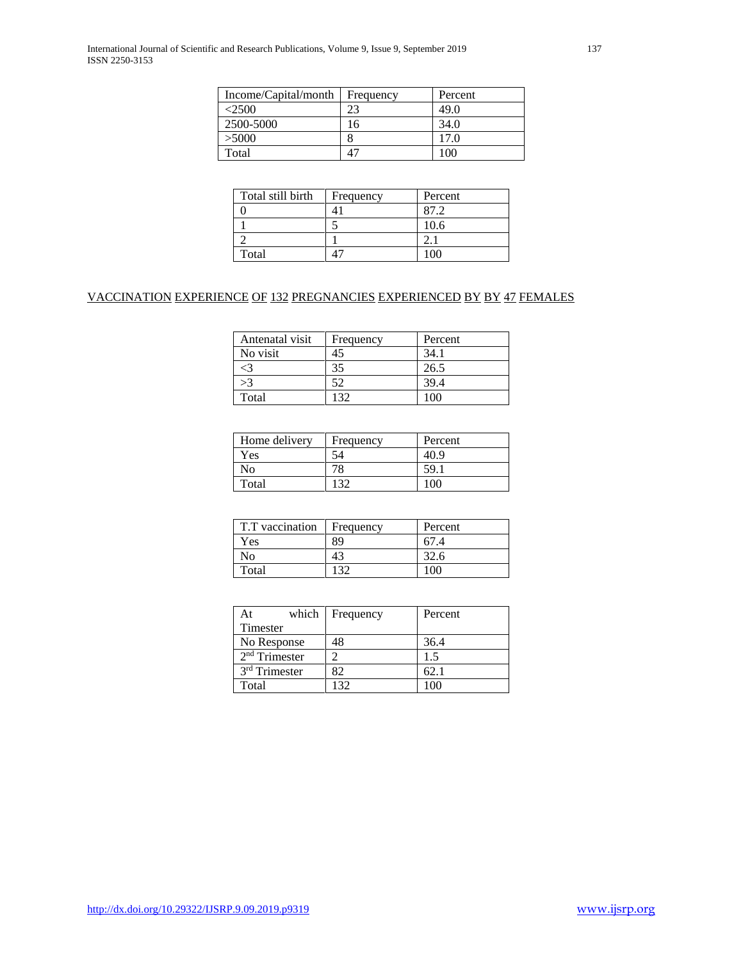International Journal of Scientific and Research Publications, Volume 9, Issue 9, September 2019 137 ISSN 2250-3153

| Income/Capital/month | Frequency | Percent      |
|----------------------|-----------|--------------|
| <2500                | 23        | 49.0         |
| 2500-5000            | 16        | 34.0         |
| >5000                |           | 17.0         |
| Total                |           | $00^{\circ}$ |

| Total still birth | Frequency | Percent |
|-------------------|-----------|---------|
|                   |           |         |
|                   |           | 10.6    |
|                   |           |         |
| Total             |           |         |

# VACCINATION EXPERIENCE OF 132 PREGNANCIES EXPERIENCED BY BY 47 FEMALES

| Antenatal visit | Frequency | Percent |
|-----------------|-----------|---------|
| No visit        | 45        | 34.1    |
|                 | 35        | 26.5    |
|                 | 52        | 39.4    |
| Total           |           | (1)     |

| Home delivery | Frequency | Percent |
|---------------|-----------|---------|
| Yes           | š4        |         |
| No            |           | 59.     |
| Total         |           | 10G     |

| T.T vaccination | Frequency | Percent |  |
|-----------------|-----------|---------|--|
| Yes             | 89        |         |  |
| Ν٥              |           |         |  |
| Total           |           | 1 N     |  |

| which<br>At               | Frequency | Percent |
|---------------------------|-----------|---------|
| Timester                  |           |         |
| No Response               | 48        | 36.4    |
| $2nd$ Trimester           |           | 1.5     |
| 3 <sup>rd</sup> Trimester | 82        | -62. 1  |
| Total                     | -32       |         |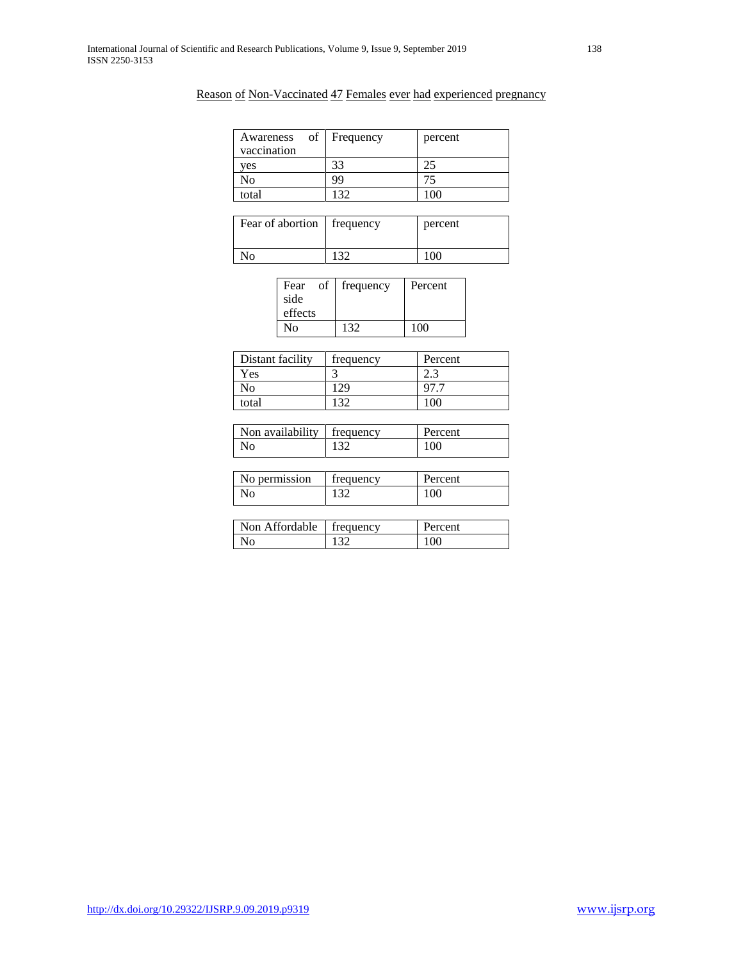# Reason of Non-Vaccinated 47 Females ever had experienced pregnancy

| of 1<br>Awareness<br>vaccination | Frequency | percent |
|----------------------------------|-----------|---------|
| yes                              | 33        |         |
| No                               | 99        |         |
| total                            | 30        |         |

| Fear of abortion   frequency |     | percent |
|------------------------------|-----|---------|
| ٧o                           | 120 | 100     |

| Fear    | of | frequency | Percent |
|---------|----|-----------|---------|
| side    |    |           |         |
| effects |    |           |         |
| Nο      |    | 132       | 100     |

| Distant facility | frequency | Percent |  |
|------------------|-----------|---------|--|
| Yes              |           | ۵.۵     |  |
| No               | 29        |         |  |
| total            | 120       | 100     |  |

| Non availability   frequency | Percent |
|------------------------------|---------|
| Nο                           | 100     |

| No permission | frequency | Percent |
|---------------|-----------|---------|
| No            | 122       | 100     |

| Non Affordable   frequency | Percent |
|----------------------------|---------|
| No                         | 100     |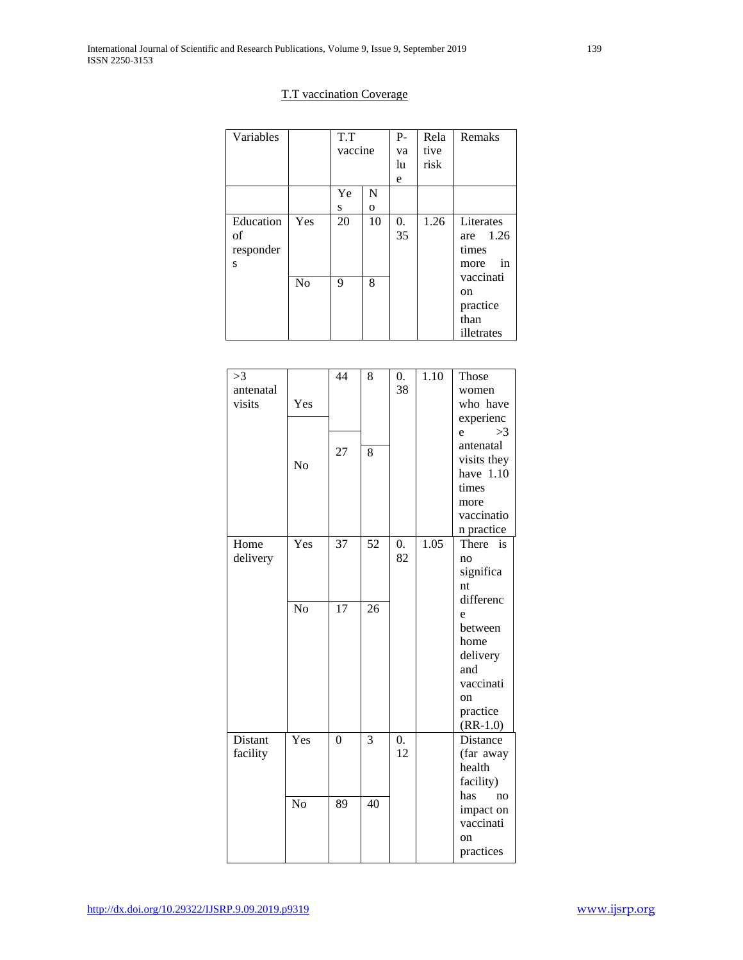# T.T vaccination Coverage

| Variables                         |     | T.T<br>vaccine |                   | $P -$<br>va<br>lu<br>e | Rela<br>tive<br>risk | Remaks                                                  |
|-----------------------------------|-----|----------------|-------------------|------------------------|----------------------|---------------------------------------------------------|
|                                   |     | Ye<br>S        | N<br>$\mathbf{O}$ |                        |                      |                                                         |
| Education<br>of<br>responder<br>S | Yes | 20             | 10                | 0.<br>35               | 1.26                 | Literates<br>are 1.26<br>times<br><sub>in</sub><br>more |
|                                   | No  | 9              | 8                 |                        |                      | vaccinati<br>on<br>practice<br>than<br>illetrates       |

| >3        |                 | 44              | 8               | 0.               | 1.10 | Those           |
|-----------|-----------------|-----------------|-----------------|------------------|------|-----------------|
| antenatal |                 |                 |                 | 38               |      | women           |
| visits    | Yes             |                 |                 |                  |      | who have        |
|           |                 |                 |                 |                  |      | experienc       |
|           |                 |                 |                 |                  |      | >3<br>e         |
|           |                 | 27              | 8               |                  |      | antenatal       |
|           | No              |                 |                 |                  |      | visits they     |
|           |                 |                 |                 |                  |      | have 1.10       |
|           |                 |                 |                 |                  |      | times           |
|           |                 |                 |                 |                  |      | more            |
|           |                 |                 |                 |                  |      | vaccinatio      |
|           |                 |                 |                 |                  |      | n practice      |
| Home      | Yes             | 37              | 52              | $\overline{0}$ . | 1.05 | There<br>is     |
| delivery  |                 |                 |                 | 82               |      | no              |
|           |                 |                 |                 |                  |      | significa       |
|           |                 |                 |                 |                  |      | nt              |
|           | $\overline{No}$ | $\overline{17}$ | 26              |                  |      | differenc       |
|           |                 |                 |                 |                  |      | e               |
|           |                 |                 |                 |                  |      | between<br>home |
|           |                 |                 |                 |                  |      | delivery        |
|           |                 |                 |                 |                  |      | and             |
|           |                 |                 |                 |                  |      | vaccinati       |
|           |                 |                 |                 |                  |      | on              |
|           |                 |                 |                 |                  |      | practice        |
|           |                 |                 |                 |                  |      | $(RR-1.0)$      |
| Distant   | Yes             | $\theta$        | 3               | 0.               |      | Distance        |
| facility  |                 |                 |                 | 12               |      | (far away       |
|           |                 |                 |                 |                  |      | health          |
|           |                 |                 |                 |                  |      | facility)       |
|           | $\overline{No}$ | 89              | $\overline{40}$ |                  |      | has<br>no       |
|           |                 |                 |                 |                  |      | impact on       |
|           |                 |                 |                 |                  |      | vaccinati       |
|           |                 |                 |                 |                  |      | on              |
|           |                 |                 |                 |                  |      | practices       |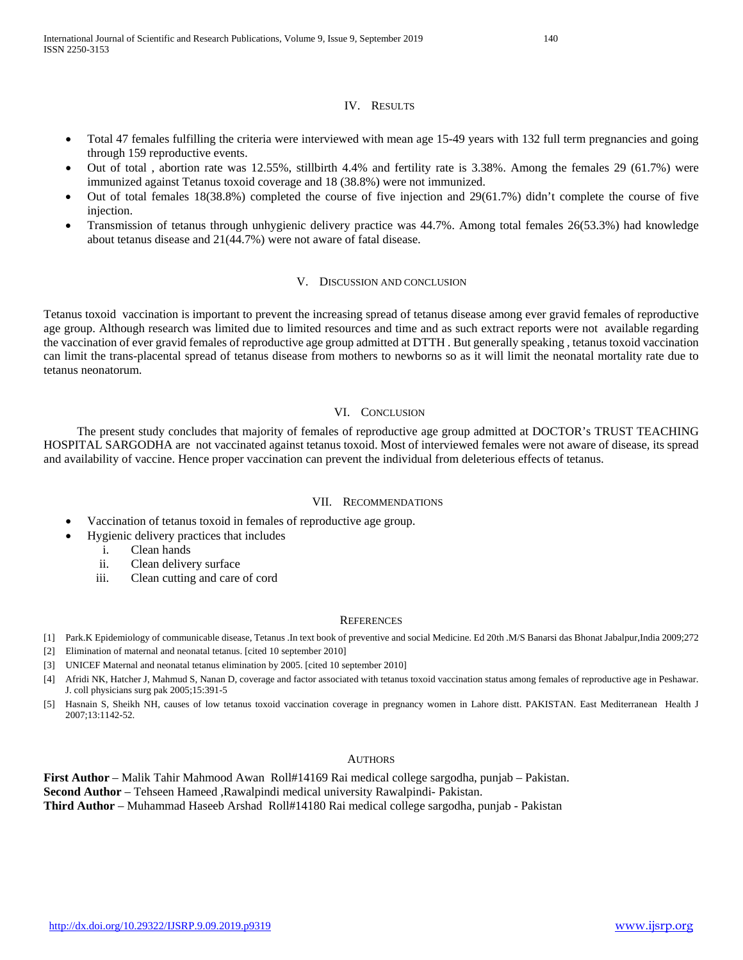#### IV. RESULTS

- Total 47 females fulfilling the criteria were interviewed with mean age 15-49 years with 132 full term pregnancies and going through 159 reproductive events.
- Out of total , abortion rate was 12.55%, stillbirth 4.4% and fertility rate is 3.38%. Among the females 29 (61.7%) were immunized against Tetanus toxoid coverage and 18 (38.8%) were not immunized.
- Out of total females 18(38.8%) completed the course of five injection and 29(61.7%) didn't complete the course of five injection.
- Transmission of tetanus through unhygienic delivery practice was 44.7%. Among total females 26(53.3%) had knowledge about tetanus disease and 21(44.7%) were not aware of fatal disease.

#### V. DISCUSSION AND CONCLUSION

Tetanus toxoid vaccination is important to prevent the increasing spread of tetanus disease among ever gravid females of reproductive age group. Although research was limited due to limited resources and time and as such extract reports were not available regarding the vaccination of ever gravid females of reproductive age group admitted at DTTH . But generally speaking , tetanus toxoid vaccination can limit the trans-placental spread of tetanus disease from mothers to newborns so as it will limit the neonatal mortality rate due to tetanus neonatorum.

#### VI. CONCLUSION

 The present study concludes that majority of females of reproductive age group admitted at DOCTOR's TRUST TEACHING HOSPITAL SARGODHA are not vaccinated against tetanus toxoid. Most of interviewed females were not aware of disease, its spread and availability of vaccine. Hence proper vaccination can prevent the individual from deleterious effects of tetanus.

#### VII. RECOMMENDATIONS

- Vaccination of tetanus toxoid in females of reproductive age group.
	- Hygienic delivery practices that includes
		- i. Clean hands
		- ii. Clean delivery surface
		- iii. Clean cutting and care of cord

## **REFERENCES**

- [1] Park.K Epidemiology of communicable disease, Tetanus .In text book of preventive and social Medicine. Ed 20th .M/S Banarsi das Bhonat Jabalpur,India 2009;272
- [2] Elimination of maternal and neonatal tetanus. [cited 10 september 2010]
- [3] UNICEF Maternal and neonatal tetanus elimination by 2005. [cited 10 september 2010]
- [4] Afridi NK, Hatcher J, Mahmud S, Nanan D, coverage and factor associated with tetanus toxoid vaccination status among females of reproductive age in Peshawar. J. coll physicians surg pak 2005;15:391-5
- [5] Hasnain S, Sheikh NH, causes of low tetanus toxoid vaccination coverage in pregnancy women in Lahore distt. PAKISTAN. East Mediterranean Health J 2007;13:1142-52.

## **AUTHORS**

**First Author** – Malik Tahir Mahmood Awan Roll#14169 Rai medical college sargodha, punjab – Pakistan. **Second Author** – Tehseen Hameed ,Rawalpindi medical university Rawalpindi- Pakistan. **Third Author** – Muhammad Haseeb Arshad Roll#14180 Rai medical college sargodha, punjab - Pakistan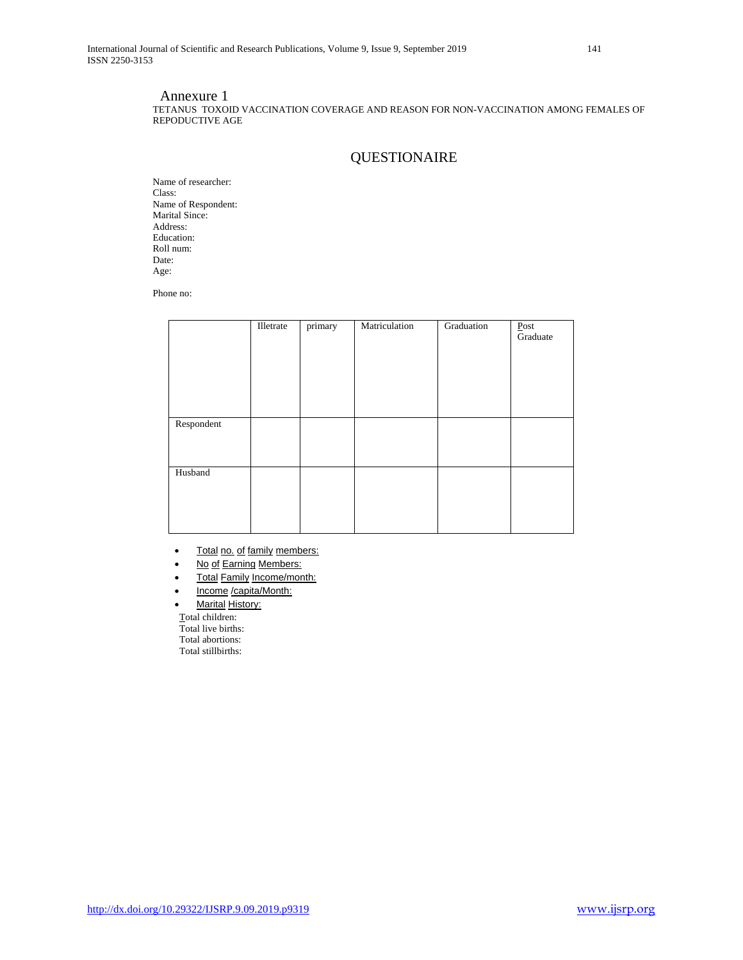## Annexure 1

TETANUS TOXOID VACCINATION COVERAGE AND REASON FOR NON-VACCINATION AMONG FEMALES OF REPODUCTIVE AGE

# QUESTIONAIRE

Name of researcher: Class: Name of Respondent: Marital Since: Address: Education: Roll num: Date: Age:

Phone no:

|            | Illetrate | primary | Matriculation | Graduation | Post<br>Graduate |
|------------|-----------|---------|---------------|------------|------------------|
| Respondent |           |         |               |            |                  |
| Husband    |           |         |               |            |                  |

- Total no. of family members:
- No of Earning Members:
- Total Family Income/month:
- Income /capita/Month:
- **Marital History:**

 Total children: Total live births: Total abortions: Total stillbirths: